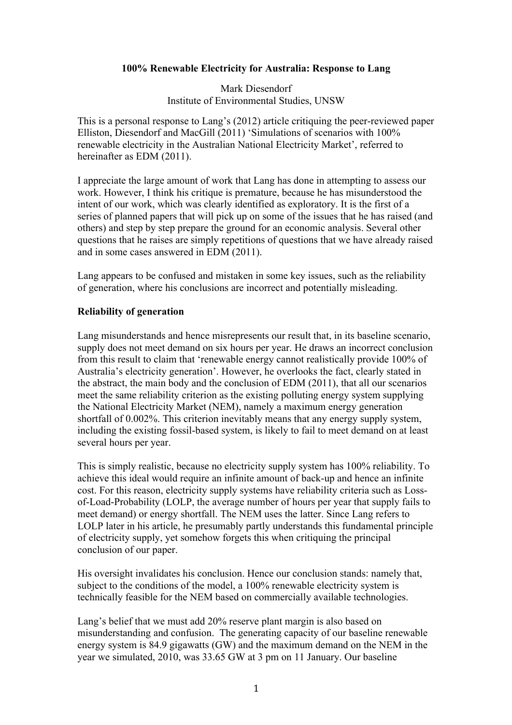### **100% Renewable Electricity for Australia: Response to Lang**

Mark Diesendorf Institute of Environmental Studies, UNSW

This is a personal response to Lang's (2012) article critiquing the peer-reviewed paper Elliston, Diesendorf and MacGill (2011) 'Simulations of scenarios with 100% renewable electricity in the Australian National Electricity Market', referred to hereinafter as EDM (2011).

I appreciate the large amount of work that Lang has done in attempting to assess our work. However, I think his critique is premature, because he has misunderstood the intent of our work, which was clearly identified as exploratory. It is the first of a series of planned papers that will pick up on some of the issues that he has raised (and others) and step by step prepare the ground for an economic analysis. Several other questions that he raises are simply repetitions of questions that we have already raised and in some cases answered in EDM (2011).

Lang appears to be confused and mistaken in some key issues, such as the reliability of generation, where his conclusions are incorrect and potentially misleading.

### **Reliability of generation**

Lang misunderstands and hence misrepresents our result that, in its baseline scenario, supply does not meet demand on six hours per year. He draws an incorrect conclusion from this result to claim that 'renewable energy cannot realistically provide 100% of Australia's electricity generation'. However, he overlooks the fact, clearly stated in the abstract, the main body and the conclusion of EDM (2011), that all our scenarios meet the same reliability criterion as the existing polluting energy system supplying the National Electricity Market (NEM), namely a maximum energy generation shortfall of 0.002%. This criterion inevitably means that any energy supply system, including the existing fossil-based system, is likely to fail to meet demand on at least several hours per year.

This is simply realistic, because no electricity supply system has 100% reliability. To achieve this ideal would require an infinite amount of back-up and hence an infinite cost. For this reason, electricity supply systems have reliability criteria such as Lossof-Load-Probability (LOLP, the average number of hours per year that supply fails to meet demand) or energy shortfall. The NEM uses the latter. Since Lang refers to LOLP later in his article, he presumably partly understands this fundamental principle of electricity supply, yet somehow forgets this when critiquing the principal conclusion of our paper.

His oversight invalidates his conclusion. Hence our conclusion stands: namely that, subject to the conditions of the model, a 100% renewable electricity system is technically feasible for the NEM based on commercially available technologies.

Lang's belief that we must add 20% reserve plant margin is also based on misunderstanding and confusion. The generating capacity of our baseline renewable energy system is 84.9 gigawatts (GW) and the maximum demand on the NEM in the year we simulated, 2010, was 33.65 GW at 3 pm on 11 January. Our baseline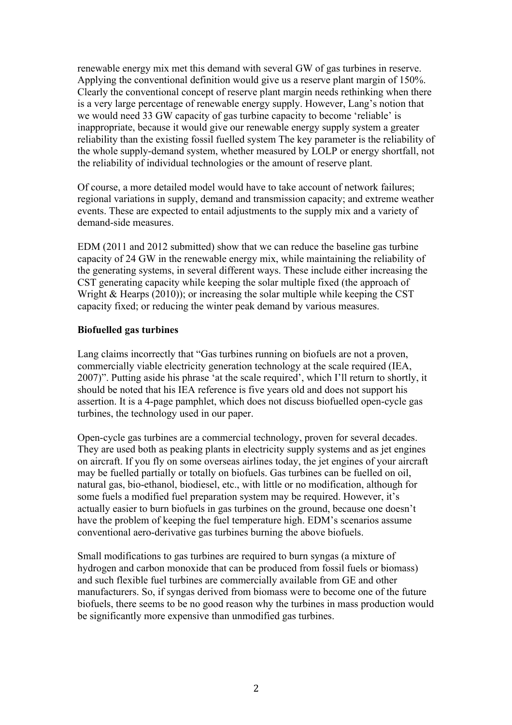renewable energy mix met this demand with several GW of gas turbines in reserve. Applying the conventional definition would give us a reserve plant margin of 150%. Clearly the conventional concept of reserve plant margin needs rethinking when there is a very large percentage of renewable energy supply. However, Lang's notion that we would need 33 GW capacity of gas turbine capacity to become 'reliable' is inappropriate, because it would give our renewable energy supply system a greater reliability than the existing fossil fuelled system The key parameter is the reliability of the whole supply-demand system, whether measured by LOLP or energy shortfall, not the reliability of individual technologies or the amount of reserve plant.

Of course, a more detailed model would have to take account of network failures; regional variations in supply, demand and transmission capacity; and extreme weather events. These are expected to entail adjustments to the supply mix and a variety of demand-side measures.

EDM (2011 and 2012 submitted) show that we can reduce the baseline gas turbine capacity of 24 GW in the renewable energy mix, while maintaining the reliability of the generating systems, in several different ways. These include either increasing the CST generating capacity while keeping the solar multiple fixed (the approach of Wright & Hearps (2010)); or increasing the solar multiple while keeping the CST capacity fixed; or reducing the winter peak demand by various measures.

### **Biofuelled gas turbines**

Lang claims incorrectly that "Gas turbines running on biofuels are not a proven, commercially viable electricity generation technology at the scale required (IEA, 2007)". Putting aside his phrase 'at the scale required', which I'll return to shortly, it should be noted that his IEA reference is five years old and does not support his assertion. It is a 4-page pamphlet, which does not discuss biofuelled open-cycle gas turbines, the technology used in our paper.

Open-cycle gas turbines are a commercial technology, proven for several decades. They are used both as peaking plants in electricity supply systems and as jet engines on aircraft. If you fly on some overseas airlines today, the jet engines of your aircraft may be fuelled partially or totally on biofuels. Gas turbines can be fuelled on oil, natural gas, bio-ethanol, biodiesel, etc., with little or no modification, although for some fuels a modified fuel preparation system may be required. However, it's actually easier to burn biofuels in gas turbines on the ground, because one doesn't have the problem of keeping the fuel temperature high. EDM's scenarios assume conventional aero-derivative gas turbines burning the above biofuels.

Small modifications to gas turbines are required to burn syngas (a mixture of hydrogen and carbon monoxide that can be produced from fossil fuels or biomass) and such flexible fuel turbines are commercially available from GE and other manufacturers. So, if syngas derived from biomass were to become one of the future biofuels, there seems to be no good reason why the turbines in mass production would be significantly more expensive than unmodified gas turbines.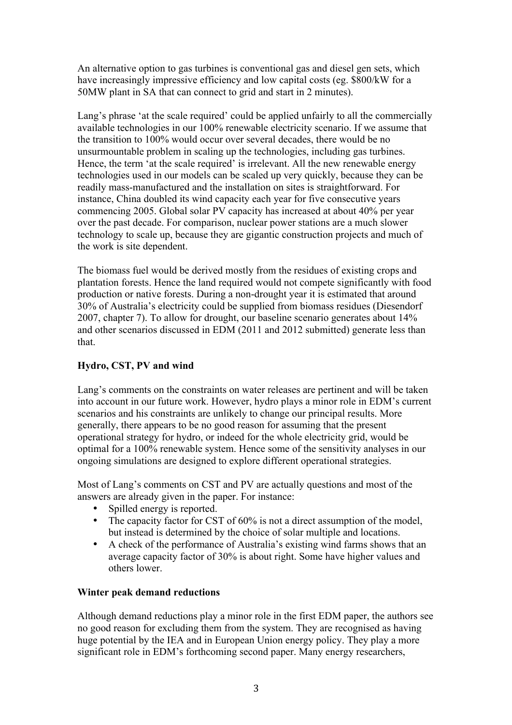An alternative option to gas turbines is conventional gas and diesel gen sets, which have increasingly impressive efficiency and low capital costs (eg. \$800/kW for a 50MW plant in SA that can connect to grid and start in 2 minutes).

Lang's phrase 'at the scale required' could be applied unfairly to all the commercially available technologies in our 100% renewable electricity scenario. If we assume that the transition to 100% would occur over several decades, there would be no unsurmountable problem in scaling up the technologies, including gas turbines. Hence, the term 'at the scale required' is irrelevant. All the new renewable energy technologies used in our models can be scaled up very quickly, because they can be readily mass-manufactured and the installation on sites is straightforward. For instance, China doubled its wind capacity each year for five consecutive years commencing 2005. Global solar PV capacity has increased at about 40% per year over the past decade. For comparison, nuclear power stations are a much slower technology to scale up, because they are gigantic construction projects and much of the work is site dependent.

The biomass fuel would be derived mostly from the residues of existing crops and plantation forests. Hence the land required would not compete significantly with food production or native forests. During a non-drought year it is estimated that around 30% of Australia's electricity could be supplied from biomass residues (Diesendorf 2007, chapter 7). To allow for drought, our baseline scenario generates about 14% and other scenarios discussed in EDM (2011 and 2012 submitted) generate less than that.

# **Hydro, CST, PV and wind**

Lang's comments on the constraints on water releases are pertinent and will be taken into account in our future work. However, hydro plays a minor role in EDM's current scenarios and his constraints are unlikely to change our principal results. More generally, there appears to be no good reason for assuming that the present operational strategy for hydro, or indeed for the whole electricity grid, would be optimal for a 100% renewable system. Hence some of the sensitivity analyses in our ongoing simulations are designed to explore different operational strategies.

Most of Lang's comments on CST and PV are actually questions and most of the answers are already given in the paper. For instance:

- Spilled energy is reported.
- The capacity factor for CST of 60% is not a direct assumption of the model, but instead is determined by the choice of solar multiple and locations.
- A check of the performance of Australia's existing wind farms shows that an average capacity factor of 30% is about right. Some have higher values and others lower.

#### **Winter peak demand reductions**

Although demand reductions play a minor role in the first EDM paper, the authors see no good reason for excluding them from the system. They are recognised as having huge potential by the IEA and in European Union energy policy. They play a more significant role in EDM's forthcoming second paper. Many energy researchers,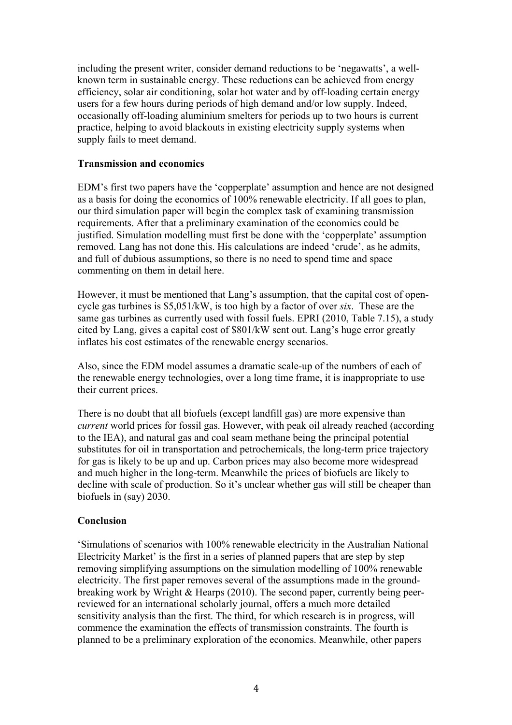including the present writer, consider demand reductions to be 'negawatts', a wellknown term in sustainable energy. These reductions can be achieved from energy efficiency, solar air conditioning, solar hot water and by off-loading certain energy users for a few hours during periods of high demand and/or low supply. Indeed, occasionally off-loading aluminium smelters for periods up to two hours is current practice, helping to avoid blackouts in existing electricity supply systems when supply fails to meet demand.

# **Transmission and economics**

EDM's first two papers have the 'copperplate' assumption and hence are not designed as a basis for doing the economics of 100% renewable electricity. If all goes to plan, our third simulation paper will begin the complex task of examining transmission requirements. After that a preliminary examination of the economics could be justified. Simulation modelling must first be done with the 'copperplate' assumption removed. Lang has not done this. His calculations are indeed 'crude', as he admits, and full of dubious assumptions, so there is no need to spend time and space commenting on them in detail here.

However, it must be mentioned that Lang's assumption, that the capital cost of opencycle gas turbines is \$5,051/kW, is too high by a factor of over *six*. These are the same gas turbines as currently used with fossil fuels. EPRI (2010, Table 7.15), a study cited by Lang, gives a capital cost of \$801/kW sent out. Lang's huge error greatly inflates his cost estimates of the renewable energy scenarios.

Also, since the EDM model assumes a dramatic scale-up of the numbers of each of the renewable energy technologies, over a long time frame, it is inappropriate to use their current prices.

There is no doubt that all biofuels (except landfill gas) are more expensive than *current* world prices for fossil gas. However, with peak oil already reached (according to the IEA), and natural gas and coal seam methane being the principal potential substitutes for oil in transportation and petrochemicals, the long-term price trajectory for gas is likely to be up and up. Carbon prices may also become more widespread and much higher in the long-term. Meanwhile the prices of biofuels are likely to decline with scale of production. So it's unclear whether gas will still be cheaper than biofuels in (say) 2030.

# **Conclusion**

'Simulations of scenarios with 100% renewable electricity in the Australian National Electricity Market' is the first in a series of planned papers that are step by step removing simplifying assumptions on the simulation modelling of 100% renewable electricity. The first paper removes several of the assumptions made in the groundbreaking work by Wright & Hearps (2010). The second paper, currently being peerreviewed for an international scholarly journal, offers a much more detailed sensitivity analysis than the first. The third, for which research is in progress, will commence the examination the effects of transmission constraints. The fourth is planned to be a preliminary exploration of the economics. Meanwhile, other papers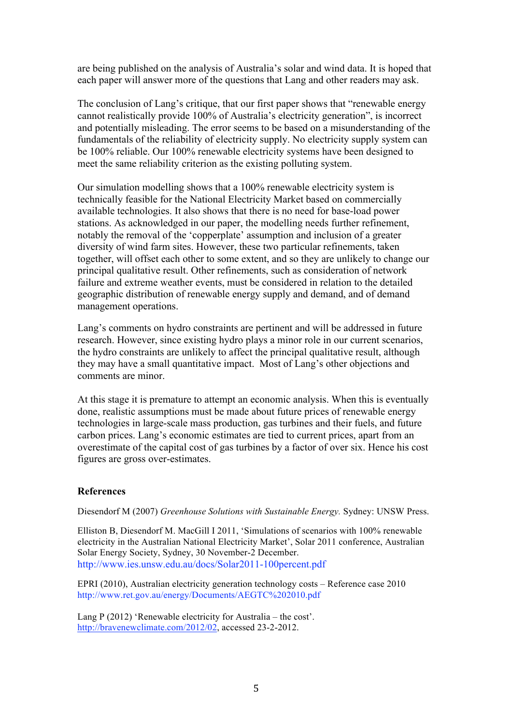are being published on the analysis of Australia's solar and wind data. It is hoped that each paper will answer more of the questions that Lang and other readers may ask.

The conclusion of Lang's critique, that our first paper shows that "renewable energy cannot realistically provide 100% of Australia's electricity generation", is incorrect and potentially misleading. The error seems to be based on a misunderstanding of the fundamentals of the reliability of electricity supply. No electricity supply system can be 100% reliable. Our 100% renewable electricity systems have been designed to meet the same reliability criterion as the existing polluting system.

Our simulation modelling shows that a 100% renewable electricity system is technically feasible for the National Electricity Market based on commercially available technologies. It also shows that there is no need for base-load power stations. As acknowledged in our paper, the modelling needs further refinement, notably the removal of the 'copperplate' assumption and inclusion of a greater diversity of wind farm sites. However, these two particular refinements, taken together, will offset each other to some extent, and so they are unlikely to change our principal qualitative result. Other refinements, such as consideration of network failure and extreme weather events, must be considered in relation to the detailed geographic distribution of renewable energy supply and demand, and of demand management operations.

Lang's comments on hydro constraints are pertinent and will be addressed in future research. However, since existing hydro plays a minor role in our current scenarios, the hydro constraints are unlikely to affect the principal qualitative result, although they may have a small quantitative impact. Most of Lang's other objections and comments are minor.

At this stage it is premature to attempt an economic analysis. When this is eventually done, realistic assumptions must be made about future prices of renewable energy technologies in large-scale mass production, gas turbines and their fuels, and future carbon prices. Lang's economic estimates are tied to current prices, apart from an overestimate of the capital cost of gas turbines by a factor of over six. Hence his cost figures are gross over-estimates.

#### **References**

Diesendorf M (2007) *Greenhouse Solutions with Sustainable Energy.* Sydney: UNSW Press.

Elliston B, Diesendorf M. MacGill I 2011, 'Simulations of scenarios with 100% renewable electricity in the Australian National Electricity Market', Solar 2011 conference, Australian Solar Energy Society, Sydney, 30 November-2 December. http://www.ies.unsw.edu.au/docs/Solar2011-100percent.pdf

EPRI (2010), Australian electricity generation technology costs – Reference case 2010 http://www.ret.gov.au/energy/Documents/AEGTC%202010.pdf

Lang P (2012) 'Renewable electricity for Australia – the cost'. http://bravenewclimate.com/2012/02, accessed 23-2-2012.